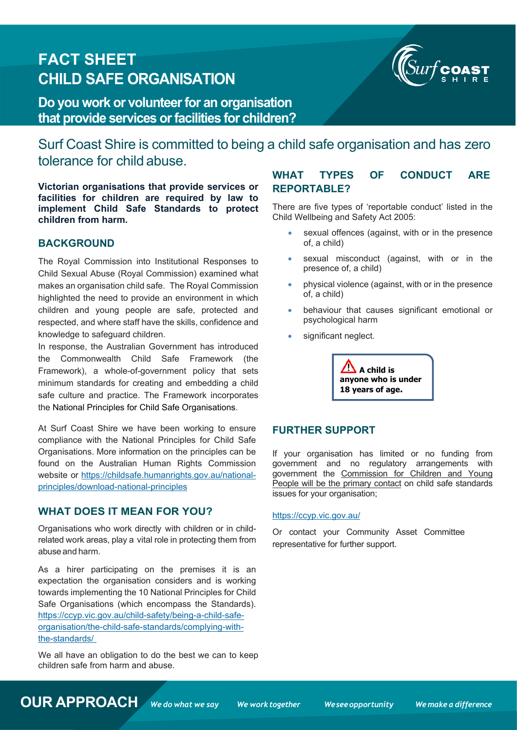# **FACT SHEET CHILD SAFE ORGANISATION**



**Do you work or volunteerfor an organisation that provide services orfacilities for children?**

Surf Coast Shire is committed to being a child safe organisation and has zero tolerance for child abuse.

**Victorian organisations that provide services or facilities for children are required by law to implement Child Safe Standards to protect children from harm.**

#### **BACKGROUND**

The Royal Commission into Institutional Responses to Child Sexual Abuse (Royal Commission) examined what makes an organisation child safe. The Royal Commission highlighted the need to provide an environment in which children and young people are safe, protected and respected, and where staff have the skills, confidence and knowledge to safeguard children.

In response, the Australian Government has introduced the Commonwealth Child Safe Framework (the Framework), a whole-of-government policy that sets minimum standards for creating and embedding a child safe culture and practice. The Framework incorporates the National Principles for Child Safe Organisations.

At Surf Coast Shire we have been working to ensure compliance with the National Principles for Child Safe Organisations. More information on the principles can be found on the Australian Human Rights Commission website or [https://childsafe.humanrights.gov.au/national](https://childsafe.humanrights.gov.au/national-principles/download-national-principles)[principles/download-national-principles](https://childsafe.humanrights.gov.au/national-principles/download-national-principles)

## **WHAT DOES IT MEAN FOR YOU?**

Organisations who work directly with children or in childrelated work areas, play a vital role in protecting them from abuse and harm.

As a hirer participating on the premises it is an expectation the organisation considers and is working towards implementing the 10 National Principles for Child Safe Organisations (which encompass the Standards). [https://ccyp.vic.gov.au/child-safety/being-a-child-safe](https://ccyp.vic.gov.au/child-safety/being-a-child-safe-organisation/the-child-safe-standards/complying-with-the-standards/)[organisation/the-child-safe-standards/complying-with](https://ccyp.vic.gov.au/child-safety/being-a-child-safe-organisation/the-child-safe-standards/complying-with-the-standards/)[the-standards/](https://ccyp.vic.gov.au/child-safety/being-a-child-safe-organisation/the-child-safe-standards/complying-with-the-standards/)

We all have an obligation to do the best we can to keep children safe from harm and abuse.

## **WHAT TYPES OF CONDUCT ARE REPORTABLE?**

There are five types of 'reportable conduct' listed in the Child Wellbeing and Safety Act 2005:

- sexual offences (against, with or in the presence of, a child)
- sexual misconduct (against, with or in the presence of, a child)
- physical violence (against, with or in the presence of, a child)
- behaviour that causes significant emotional or psychological harm
- significant neglect.

 $\mathbf{A}$  A child is **anyone who is under 18 years of age.**

#### **FURTHER SUPPORT**

If your organisation has limited or no funding from government and no regulatory arrangements with government the Commission for Children and Young People will be the primary contact on child safe standards issues for your organisation;

#### <https://ccyp.vic.gov.au/>

Or contact your Community Asset Committee representative for further support.